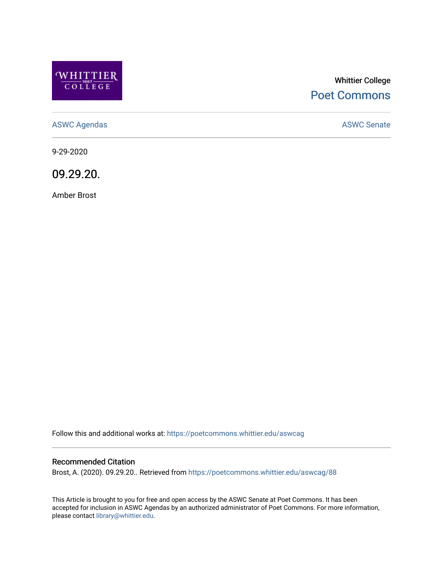

# Whittier College [Poet Commons](https://poetcommons.whittier.edu/)

[ASWC Agendas](https://poetcommons.whittier.edu/aswcag) **ASWC Senate** 

9-29-2020

09.29.20.

Amber Brost

Follow this and additional works at: [https://poetcommons.whittier.edu/aswcag](https://poetcommons.whittier.edu/aswcag?utm_source=poetcommons.whittier.edu%2Faswcag%2F88&utm_medium=PDF&utm_campaign=PDFCoverPages) 

## Recommended Citation

Brost, A. (2020). 09.29.20.. Retrieved from [https://poetcommons.whittier.edu/aswcag/88](https://poetcommons.whittier.edu/aswcag/88?utm_source=poetcommons.whittier.edu%2Faswcag%2F88&utm_medium=PDF&utm_campaign=PDFCoverPages) 

This Article is brought to you for free and open access by the ASWC Senate at Poet Commons. It has been accepted for inclusion in ASWC Agendas by an authorized administrator of Poet Commons. For more information, please contact [library@whittier.edu](mailto:library@whittier.edu).